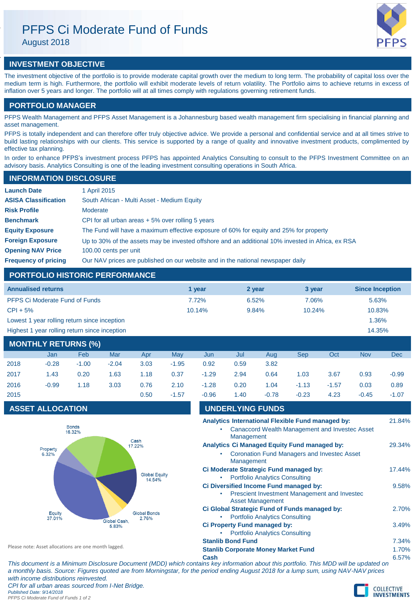# PFPS Ci Moderate Fund of Funds

August 2018



# **INVESTMENT OBJECTIVE**

The investment objective of the portfolio is to provide moderate capital growth over the medium to long term. The probability of capital loss over the medium term is high. Furthermore, the portfolio will exhibit moderate levels of return volatility. The Portfolio aims to achieve returns in excess of inflation over 5 years and longer. The portfolio will at all times comply with regulations governing retirement funds.

# **PORTFOLIO MANAGER**

PFPS Wealth Management and PFPS Asset Management is a Johannesburg based wealth management firm specialising in financial planning and asset management.

PFPS is totally independent and can therefore offer truly objective advice. We provide a personal and confidential service and at all times strive to build lasting relationships with our clients. This service is supported by a range of quality and innovative investment products, complimented by effective tax planning.

In order to enhance PFPS's investment process PFPS has appointed Analytics Consulting to consult to the PFPS Investment Committee on an advisory basis. Analytics Consulting is one of the leading investment consulting operations in South Africa.

| <b>INFORMATION DISCLOSURE</b> |                                                                                                   |  |  |  |  |
|-------------------------------|---------------------------------------------------------------------------------------------------|--|--|--|--|
| <b>Launch Date</b>            | 1 April 2015                                                                                      |  |  |  |  |
| <b>ASISA Classification</b>   | South African - Multi Asset - Medium Equity                                                       |  |  |  |  |
| <b>Risk Profile</b>           | Moderate                                                                                          |  |  |  |  |
| <b>Benchmark</b>              | CPI for all urban areas $+5\%$ over rolling 5 years                                               |  |  |  |  |
| <b>Equity Exposure</b>        | The Fund will have a maximum effective exposure of 60% for equity and 25% for property            |  |  |  |  |
| <b>Foreign Exposure</b>       | Up to 30% of the assets may be invested offshore and an additional 10% invested in Africa, ex RSA |  |  |  |  |
| <b>Opening NAV Price</b>      | 100.00 cents per unit                                                                             |  |  |  |  |
| <b>Frequency of pricing</b>   | Our NAV prices are published on our website and in the national newspaper daily                   |  |  |  |  |

# **PORTFOLIO HISTORIC PERFORMANCE**

| <b>Annualised returns</b>                     | 1 year | 2 year   | 3 year | <b>Since Inception</b> |
|-----------------------------------------------|--------|----------|--------|------------------------|
| <b>PFPS Ci Moderate Fund of Funds</b>         | 7.72%  | $6.52\%$ | 7.06%  | 5.63%                  |
| $CPI + 5%$                                    | 10.14% | 9.84%    | 10.24% | 10.83%                 |
| Lowest 1 year rolling return since inception  |        |          |        | 1.36%                  |
| Highest 1 year rolling return since inception |        |          |        | 14.35%                 |
|                                               |        |          |        |                        |

| <b>MONTHLY RETURNS (%)</b> |         |         |         |      |         |         |      |         |         |         |            |            |
|----------------------------|---------|---------|---------|------|---------|---------|------|---------|---------|---------|------------|------------|
|                            | Jan     | Feb     | Mar     | Apr  | May     | Jun     | Jul  | Aug     | Sep     | Oct     | <b>Nov</b> | <b>Dec</b> |
| 2018                       | $-0.28$ | $-1.00$ | $-2.04$ | 3.03 | $-1.95$ | 0.92    | 0.59 | 3.82    |         |         |            |            |
| 2017                       | 1.43    | 0.20    | 1.63    | 1.18 | 0.37    | $-1.29$ | 2.94 | 0.64    | 1.03    | 3.67    | 0.93       | $-0.99$    |
| 2016                       | $-0.99$ | 1.18    | 3.03    | 0.76 | 2.10    | $-1.28$ | 0.20 | 1.04    | $-1.13$ | $-1.57$ | 0.03       | 0.89       |
| 2015                       |         |         |         | 0.50 | $-1.57$ | $-0.96$ | 1.40 | $-0.78$ | $-0.23$ | 4.23    | $-0.45$    | $-1.07$    |

# **ASSET ALLOCATION**



| $-0.96$                                    | 1.40       | $-0.78$                                                                 | $-0.23$ | 4.23 | $-0.45$ | $-1.07$  |
|--------------------------------------------|------------|-------------------------------------------------------------------------|---------|------|---------|----------|
|                                            |            | <b>UNDERLYING FUNDS</b>                                                 |         |      |         |          |
|                                            |            | Analytics International Flexible Fund managed by:                       |         |      |         | 21.84%   |
|                                            | Management | Canaccord Wealth Management and Investec Asset                          |         |      |         |          |
|                                            |            | <b>Analytics Ci Managed Equity Fund managed by:</b>                     |         |      |         | 29.34%   |
|                                            | Management | <b>Coronation Fund Managers and Investec Asset</b>                      |         |      |         |          |
|                                            |            | Ci Moderate Strategic Fund managed by:                                  |         |      |         | 17.44%   |
| ۰                                          |            | <b>Portfolio Analytics Consulting</b>                                   |         |      |         |          |
|                                            |            | Ci Diversified Income Fund managed by:                                  |         |      |         | 9.58%    |
|                                            |            | Prescient Investment Management and Investec<br><b>Asset Management</b> |         |      |         |          |
|                                            |            | Ci Global Strategic Fund of Funds managed by:                           |         |      |         | 2.70%    |
|                                            |            | <b>Portfolio Analytics Consulting</b>                                   |         |      |         |          |
|                                            |            | Ci Property Fund managed by:                                            |         |      |         | 3.49%    |
|                                            |            | <b>Portfolio Analytics Consulting</b>                                   |         |      |         |          |
| <b>Stanlib Bond Fund</b>                   |            |                                                                         |         |      |         | 7.34%    |
| <b>Stanlib Corporate Money Market Fund</b> |            |                                                                         |         |      |         | 1.70%    |
| <b>A</b> ---                               |            |                                                                         |         |      |         | $C = 70$ |

Please note: Asset allocations are one month lagged.

*PFPS Ci Moderate Fund of Funds 1 of 2*

**Cash** 6.57% *This document is a Minimum Disclosure Document (MDD) which contains key information about this portfolio. This MDD will be updated on a monthly basis. Source: Figures quoted are from Morningstar, for the period ending August 2018 for a lump sum, using NAV-NAV prices with income distributions reinvested. CPI for all urban areas sourced from I-Net Bridge. Published Date: 9/14/2018*